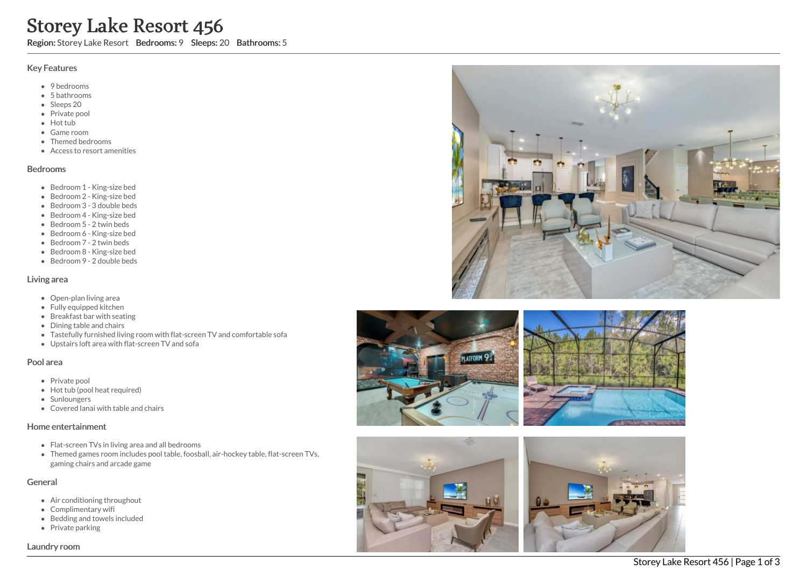# Storey Lake Resort 456

Region: Storey Lake Resort Bedrooms: 9 Sleeps: 20 Bathrooms: 5

## Key Features

- 9 bedrooms
- 5 b a t h r o o m s
- Sleeps 20
- Private pool
- Hot tub
- Game room
- Themed bed r o o m s
- Access to resort amenities

#### **Bedrooms**

- Bedroom 1 King-size bed
- Bedroom 2 King-size bed
- Bedroom 3 3 double beds
- Bedroom 4 King-size bed
- Bedroom 5 2 twin beds
- Bedroom 6 King-size bed
- Bedroom 7 2 twin beds
- Bedroom 8 King-size bed
- Bedroom 9 2 double beds

#### Living area

- Open-plan living area
- Fully equipped kitchen
- Breakfast bar with seating
- Dining table and chairs
- Tastefully furnished living room with flat-screen TV and comfortable sofa
- Upstairs loft area with flat-screen TV and sofa

### Pool area

- Private pool
- Hot tub (pool heat required)
- **Sunloungers**
- Covered lanai with table and chairs

### Home entertainment

- Flat-screen TVs in living area and all bedrooms
- Themed games room includes pool table, foosball, air-hockey table, flat-screen TVs, gaming chairs and arcade game

### General

- Air conditioning throughout
- Complimentary wifi
- Bedding and towels in clu d e d
- Private parking









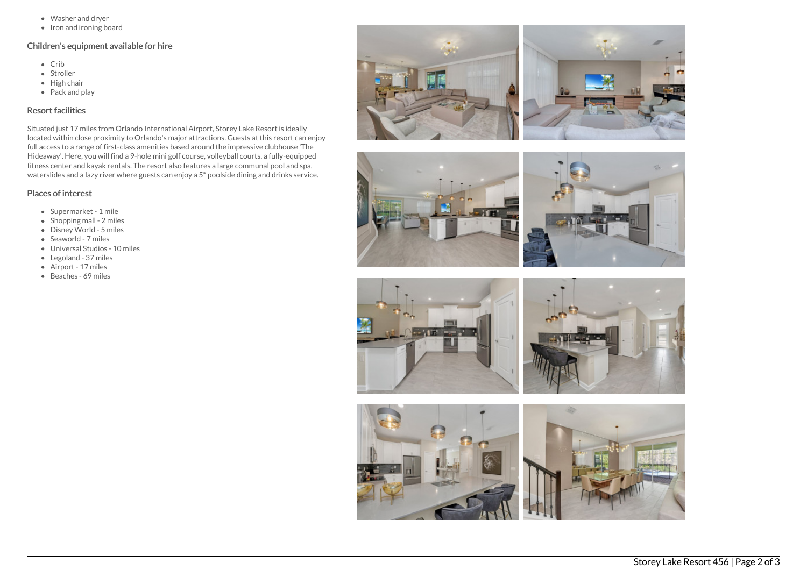- Washer and dryer
- $\bullet$  Iron and ironing board

## Children's equipment available for hire

- Crib
- Stroller
- $\bullet$  High chair
- Pack and play

# Resort facilities

Situated just 17 miles from Orlando International Airport, Storey Lake Resort is ideally located within close proximity to Orlando's major attractions. Guests at this resort can enjoy full access to a range of first-class amenities based around the impressive clubhouse 'The Hideaway'. Here, you will find a 9-hole mini golf course, volleyball courts, a fully-equipped fitness center and kayak rentals. The resort also features a large communal pool and spa, waterslides and a lazy river where guests can enjoy a 5\* poolside dining and drinks service.

## Places of interest

- Supermarket 1 mile
- $\bullet$  Shopping mall 2 miles
- Disney World 5 miles
- Seaworld 7 miles
- Universal Studios 10 miles
- Legoland 37 miles
- Airport 17 miles
- Beaches 69 miles